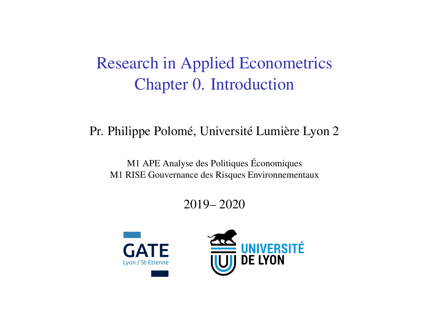# Research in Applied Econometrics Chapter 0. Introduction

#### Pr. Philippe Polomé, Université Lumière Lyon 2

#### M1 APE Analyse des Politiques Économiques M1 RISE Gouvernance des Risques Environnementaux

### 2019– 2020



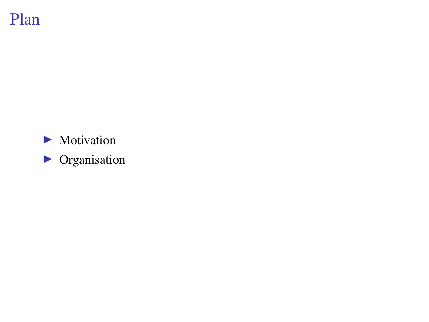# Plan

- $\blacktriangleright$  Motivation
- $\triangleright$  Organisation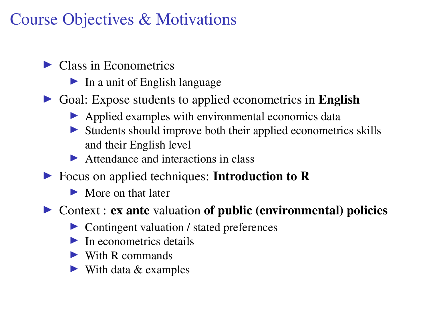# Course Objectives & Motivations

### $\blacktriangleright$  Class in Econometrics

- $\blacktriangleright$  In a unit of English language
- $\triangleright$  Goal: Expose students to applied econometrics in English
	- $\blacktriangleright$  Applied examples with environmental economics data
	- $\triangleright$  Students should improve both their applied econometrics skills and their English level
	- $\blacktriangleright$  Attendance and interactions in class
- $\triangleright$  Focus on applied techniques: Introduction to R
	- $\blacktriangleright$  More on that later
- $\triangleright$  Context : ex ante valuation of public (environmental) policies
	- $\triangleright$  Contingent valuation / stated preferences
	- $\blacktriangleright$  In econometrics details
	- $\blacktriangleright$  With R commands
	- $\triangleright$  With data & examples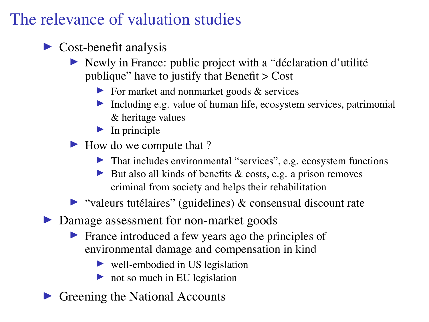# The relevance of valuation studies

- $\triangleright$  Cost-benefit analysis
	- In Newly in France: public project with a "déclaration d'utilité" publique" have to justify that Benefit > Cost
		- $\triangleright$  For market and nonmarket goods & services
		- Including e.g. value of human life, ecosystem services, patrimonial & heritage values
		- $\blacktriangleright$  In principle
	- I How do we compute that ?
		- $\blacktriangleright$  That includes environmental "services", e.g. ecosystem functions
		- I But also all kinds of benefits  $& \text{costs}, \text{e.g.}$  a prison removes criminal from society and helps their rehabilitation

 $\triangleright$  "valeurs tutélaires" (guidelines) & consensual discount rate

▶ Damage assessment for non-market goods

- $\blacktriangleright$  France introduced a few years ago the principles of environmental damage and compensation in kind
	- $\triangleright$  well-embodied in US legislation
	- $\triangleright$  not so much in EU legislation
- Greening the National Accounts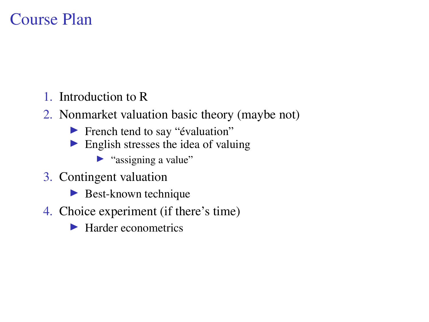### Course Plan

- 1. Introduction to R
- 2. Nonmarket valuation basic theory (maybe not)
	- $\blacktriangleright$  French tend to say "évaluation"
	- $\blacktriangleright$  English stresses the idea of valuing
		- $\blacktriangleright$  "assigning a value"
- 3. Contingent valuation
	- $\blacktriangleright$  Best-known technique
- 4. Choice experiment (if there's time)
	- $\blacktriangleright$  Harder econometrics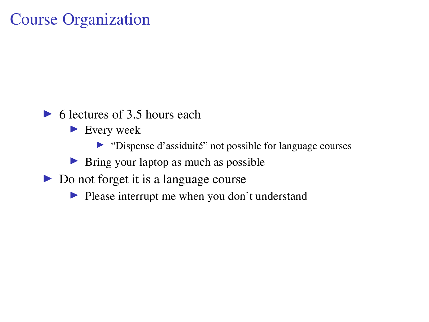### Course Organization

- $\triangleright$  6 lectures of 3.5 hours each
	- $\blacktriangleright$  Every week
		- I "Dispense d'assiduité" not possible for language courses
	- $\triangleright$  Bring your laptop as much as possible
- $\triangleright$  Do not forget it is a language course
	- $\blacktriangleright$  Please interrupt me when you don't understand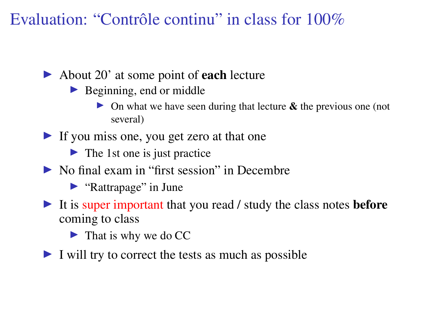Evaluation: "Contrôle continu" in class for 100%

- $\triangleright$  About 20' at some point of **each** lecture
	- $\blacktriangleright$  Beginning, end or middle
		- $\triangleright$  On what we have seen during that lecture  $\&$  the previous one (not several)
- If you miss one, you get zero at that one
	- $\blacktriangleright$  The 1st one is just practice
- $\triangleright$  No final exam in "first session" in Decembre
	- $\blacktriangleright$  "Rattrapage" in June
- It is super important that you read / study the class notes **before** coming to class
	- $\blacktriangleright$  That is why we do CC
- $\blacktriangleright$  I will try to correct the tests as much as possible